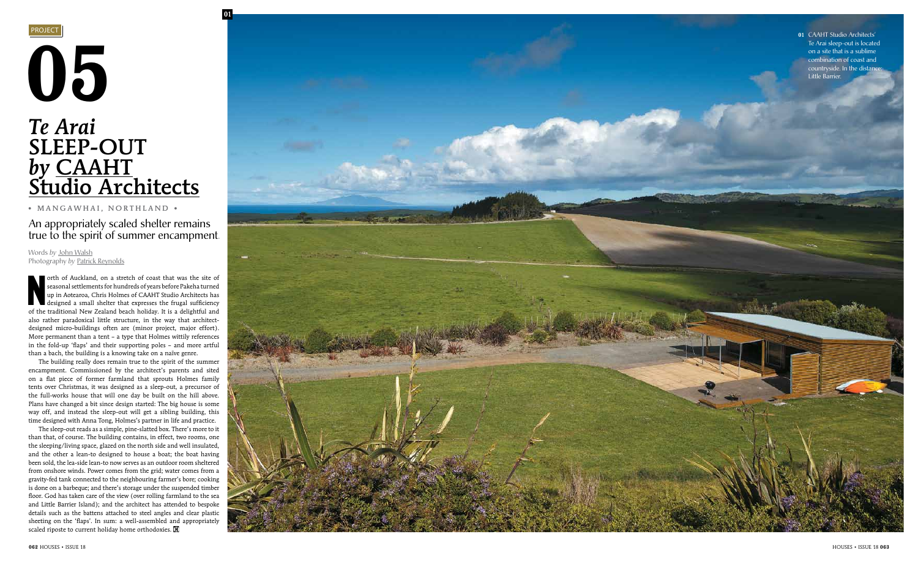

 N orth of Auckland, on a stretch of coast that was the site of seasonal settlements for hundreds of years before Pakeha turned up in Aotearoa, Chris Holmes of CAAHT Studio Architects has designed a small shelter that expresses the frugal sufficiency of the traditional New Zealand beach holiday. It is a delightful and also rather paradoxical little structure, in the way that architectdesigned micro-buildings often are (minor project, major effort). More permanent than a tent – a type that Holmes wittily references in the fold-up 'flaps' and their supporting poles – and more artful than a bach, the building is a knowing take on a naïve genre.

The sleep-out reads as a simple, pine-slatted box. There's more to it than that, of course. The building contains, in effect, two rooms, one the sleeping/living space, glazed on the north side and well insulated, and the other a lean-to designed to house a boat; the boat having been sold, the lea-side lean-to now serves as an outdoor room sheltered from onshore winds. Power comes from the grid; water comes from a gravity-fed tank connected to the neighbouring farmer's bore; cooking is done on a barbeque; and there's storage under the suspended timber floor. God has taken care of the view (over rolling farmland to the sea and Little Barrier Island); and the architect has attended to bespoke details such as the battens attached to steel angles and clear plastic sheeting on the 'flaps'. In sum: a well-assembled and appropriately scaled riposte to current holiday home orthodoxies. **H** 

The building really does remain true to the spirit of the summer encampment. Commissioned by the architect's parents and sited on a flat piece of former farmland that sprouts Holmes family tents over Christmas, it was designed as a sleep-out, a precursor of the full-works house that will one day be built on the hill above. Plans have changed a bit since design started: The big house is some way off, and instead the sleep-out will get a sibling building, this time designed with Anna Tong, Holmes's partner in life and practice.

# 05 *Te Arai* SLEEP-OUT *by* CAAH T Studio Architects

• MANGAWHAI, NORTHLAND •



Words *by* John Walsh Photography *by* Patrick Reynolds

An appropriately scaled shelter remains true to the spirit of summer encampment. 01 CAAHT Studio Architects' Te Arai sleep-out is located on a site that is a sublime combination of coast and countryside. In the distance Little Barrier.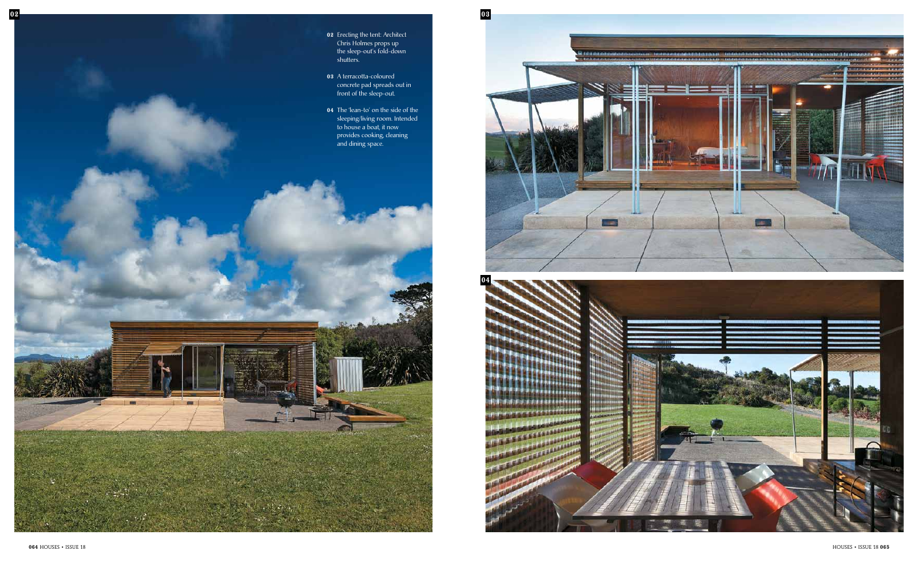